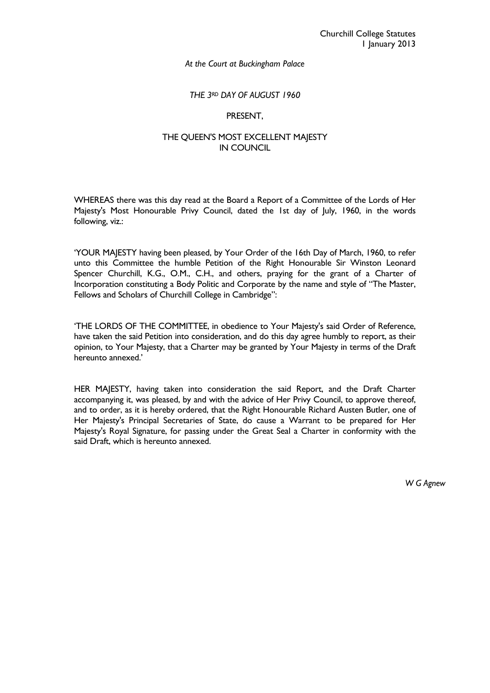## *THE 3RD DAY OF AUGUST 1960*

## PRESENT,

# THE QUEEN'S MOST EXCELLENT MAJESTY IN COUNCIL

WHEREAS there was this day read at the Board a Report of a Committee of the Lords of Her Majesty's Most Honourable Privy Council, dated the 1st day of July, 1960, in the words following, viz.:

'YOUR MAJESTY having been pleased, by Your Order of the 16th Day of March, 1960, to refer unto this Committee the humble Petition of the Right Honourable Sir Winston Leonard Spencer Churchill, K.G., O.M., C.H., and others, praying for the grant of a Charter of Incorporation constituting a Body Politic and Corporate by the name and style of "The Master, Fellows and Scholars of Churchill College in Cambridge":

'THE LORDS OF THE COMMITTEE, in obedience to Your Majesty's said Order of Reference, have taken the said Petition into consideration, and do this day agree humbly to report, as their opinion, to Your Majesty, that a Charter may be granted by Your Majesty in terms of the Draft hereunto annexed.'

HER MAJESTY, having taken into consideration the said Report, and the Draft Charter accompanying it, was pleased, by and with the advice of Her Privy Council, to approve thereof, and to order, as it is hereby ordered, that the Right Honourable Richard Austen Butler, one of Her Majesty's Principal Secretaries of State, do cause a Warrant to be prepared for Her Majesty's Royal Signature, for passing under the Great Seal a Charter in conformity with the said Draft, which is hereunto annexed.

*W G Agnew*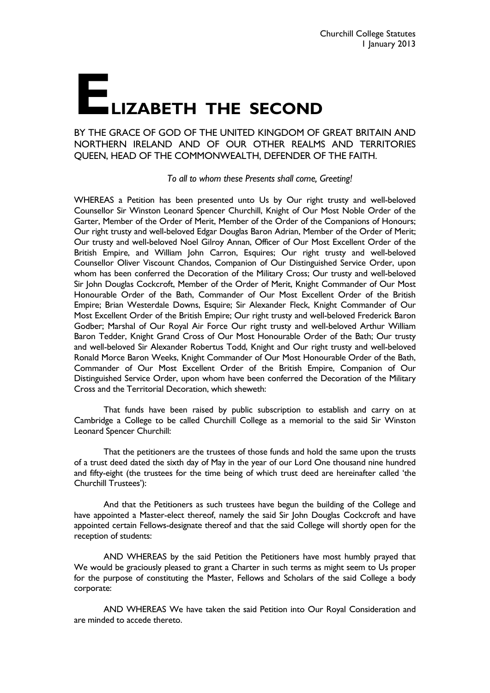# **ELIZABETH THE SECOND**

BY THE GRACE OF GOD OF THE UNITED KINGDOM OF GREAT BRITAIN AND NORTHERN IRELAND AND OF OUR OTHER REALMS AND TERRITORIES QUEEN, HEAD OF THE COMMONWEALTH, DEFENDER OF THE FAITH.

 *To all to whom these Presents shall come, Greeting!*

WHEREAS a Petition has been presented unto Us by Our right trusty and well-beloved Counsellor Sir Winston Leonard Spencer Churchill, Knight of Our Most Noble Order of the Garter, Member of the Order of Merit, Member of the Order of the Companions of Honours; Our right trusty and well-beloved Edgar Douglas Baron Adrian, Member of the Order of Merit; Our trusty and well-beloved Noel Gilroy Annan, Officer of Our Most Excellent Order of the British Empire, and William John Carron, Esquires; Our right trusty and well-beloved Counsellor Oliver Viscount Chandos, Companion of Our Distinguished Service Order, upon whom has been conferred the Decoration of the Military Cross; Our trusty and well-beloved Sir John Douglas Cockcroft, Member of the Order of Merit, Knight Commander of Our Most Honourable Order of the Bath, Commander of Our Most Excellent Order of the British Empire; Brian Westerdale Downs, Esquire; Sir Alexander Fleck, Knight Commander of Our Most Excellent Order of the British Empire; Our right trusty and well-beloved Frederick Baron Godber; Marshal of Our Royal Air Force Our right trusty and well-beloved Arthur William Baron Tedder, Knight Grand Cross of Our Most Honourable Order of the Bath; Our trusty and well-beloved Sir Alexander Robertus Todd, Knight and Our right trusty and well-beloved Ronald Morce Baron Weeks, Knight Commander of Our Most Honourable Order of the Bath, Commander of Our Most Excellent Order of the British Empire, Companion of Our Distinguished Service Order, upon whom have been conferred the Decoration of the Military Cross and the Territorial Decoration, which sheweth:

 That funds have been raised by public subscription to establish and carry on at Cambridge a College to be called Churchill College as a memorial to the said Sir Winston Leonard Spencer Churchill:

 That the petitioners are the trustees of those funds and hold the same upon the trusts of a trust deed dated the sixth day of May in the year of our Lord One thousand nine hundred and fifty-eight (the trustees for the time being of which trust deed are hereinafter called 'the Churchill Trustees'):

 And that the Petitioners as such trustees have begun the building of the College and have appointed a Master-elect thereof, namely the said Sir John Douglas Cockcroft and have appointed certain Fellows-designate thereof and that the said College will shortly open for the reception of students:

 AND WHEREAS by the said Petition the Petitioners have most humbly prayed that We would be graciously pleased to grant a Charter in such terms as might seem to Us proper for the purpose of constituting the Master, Fellows and Scholars of the said College a body corporate:

 AND WHEREAS We have taken the said Petition into Our Royal Consideration and are minded to accede thereto.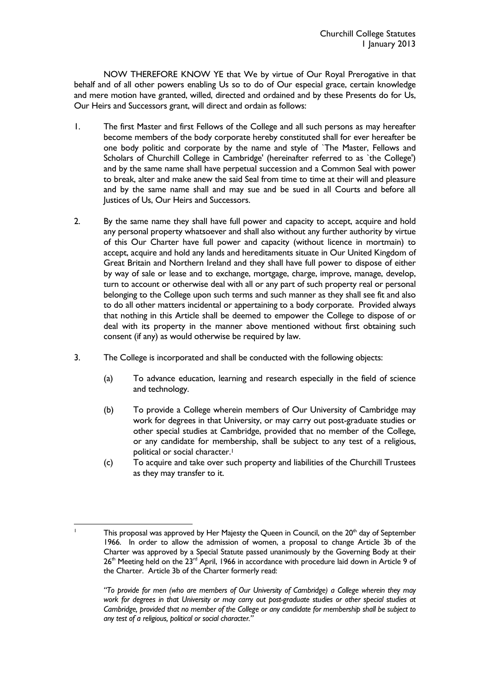NOW THEREFORE KNOW YE that We by virtue of Our Royal Prerogative in that behalf and of all other powers enabling Us so to do of Our especial grace, certain knowledge and mere motion have granted, willed, directed and ordained and by these Presents do for Us, Our Heirs and Successors grant, will direct and ordain as follows:

- 1. The first Master and first Fellows of the College and all such persons as may hereafter become members of the body corporate hereby constituted shall for ever hereafter be one body politic and corporate by the name and style of `The Master, Fellows and Scholars of Churchill College in Cambridge' (hereinafter referred to as `the College') and by the same name shall have perpetual succession and a Common Seal with power to break, alter and make anew the said Seal from time to time at their will and pleasure and by the same name shall and may sue and be sued in all Courts and before all Justices of Us, Our Heirs and Successors.
- 2. By the same name they shall have full power and capacity to accept, acquire and hold any personal property whatsoever and shall also without any further authority by virtue of this Our Charter have full power and capacity (without licence in mortmain) to accept, acquire and hold any lands and hereditaments situate in Our United Kingdom of Great Britain and Northern Ireland and they shall have full power to dispose of either by way of sale or lease and to exchange, mortgage, charge, improve, manage, develop, turn to account or otherwise deal with all or any part of such property real or personal belonging to the College upon such terms and such manner as they shall see fit and also to do all other matters incidental or appertaining to a body corporate. Provided always that nothing in this Article shall be deemed to empower the College to dispose of or deal with its property in the manner above mentioned without first obtaining such consent (if any) as would otherwise be required by law.
- 3. The College is incorporated and shall be conducted with the following objects:
	- (a) To advance education, learning and research especially in the field of science and technology.
	- (b) To provide a College wherein members of Our University of Cambridge may work for degrees in that University, or may carry out post-graduate studies or other special studies at Cambridge, provided that no member of the College, or any candidate for membership, shall be subject to any test of a religious, political or social character.<sup>1</sup>
	- (c) To acquire and take over such property and liabilities of the Churchill Trustees as they may transfer to it.

 $\frac{1}{1}$ 

This proposal was approved by Her Majesty the Queen in Council, on the  $20<sup>th</sup>$  day of September 1966. In order to allow the admission of women, a proposal to change Article 3b of the Charter was approved by a Special Statute passed unanimously by the Governing Body at their  $26<sup>th</sup>$  Meeting held on the  $23<sup>rd</sup>$  April, 1966 in accordance with procedure laid down in Article 9 of the Charter. Article 3b of the Charter formerly read:

*<sup>&</sup>quot;To provide for men (who are members of Our University of Cambridge) a College wherein they may work for degrees in that University or may carry out post-graduate studies or other special studies at Cambridge, provided that no member of the College or any candidate for membership shall be subject to any test of a religious, political or social character."*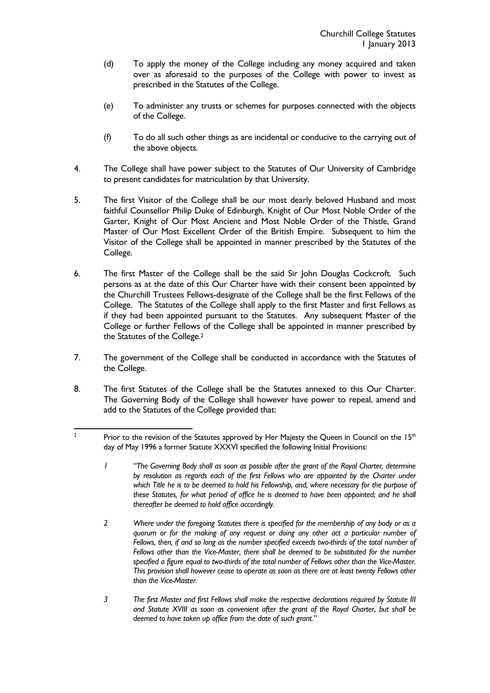- (d) To apply the money of the College including any money acquired and taken over as aforesaid to the purposes of the College with power to invest as prescribed in the Statutes of the College.
- (e) To administer any trusts or schemes for purposes connected with the objects of the College.
- (f) To do all such other things as are incidental or conducive to the carrying out of the above objects.
- 4. The College shall have power subject to the Statutes of Our University of Cambridge to present candidates for matriculation by that University.
- 5. The first Visitor of the College shall be our most dearly beloved Husband and most faithful Counsellor Philip Duke of Edinburgh, Knight of Our Most Noble Order of the Garter, Knight of Our Most Ancient and Most Noble Order of the Thistle, Grand Master of Our Most Excellent Order of the British Empire. Subsequent to him the Visitor of the College shall be appointed in manner prescribed by the Statutes of the College.
- 6. The first Master of the College shall be the said Sir John Douglas Cockcroft. Such persons as at the date of this Our Charter have with their consent been appointed by the Churchill Trustees Fellows-designate of the College shall be the first Fellows of the College. The Statutes of the College shall apply to the first Master and first Fellows as if they had been appointed pursuant to the Statutes. Any subsequent Master of the College or further Fellows of the College shall be appointed in manner prescribed by the Statutes of the College.2
- 7. The government of the College shall be conducted in accordance with the Statutes of the College.
- 8. The first Statutes of the College shall be the Statutes annexed to this Our Charter. The Governing Body of the College shall however have power to repeal, amend and add to the Statutes of the College provided that:

- *1 "The Governing Body shall as soon as possible after the grant of the Royal Charter, determine by resolution as regards each of the first Fellows who are appointed by the Charter under which Title he is to be deemed to hold his Fellowship, and, where necessary for the purpose of these Statutes, for what period of office he is deemed to have been appointed; and he shall thereafter be deemed to hold office accordingly.*
- *2 Where under the foregoing Statutes there is specified for the membership of any body or as a quorum or for the making of any request or doing any other act a particular number of Fellows, then, if and so long as the number specified exceeds two-thirds of the total number of Fellows other than the Vice-Master, there shall be deemed to be substituted for the number specified a figure equal to two-thirds of the total number of Fellows other than the Vice-Master. This provision shall however cease to operate as soon as there are at least twenty Fellows other than the Vice-Master.*
- *3 The first Master and first Fellows shall make the respective declarations required by Statute III and Statute XVIII as soon as convenient after the grant of the Royal Charter, but shall be deemed to have taken up office from the date of such grant."*

 $\frac{1}{2}$ Prior to the revision of the Statutes approved by Her Majesty the Queen in Council on the  $15<sup>th</sup>$ day of May 1996 a former Statute XXXVI specified the following Initial Provisions: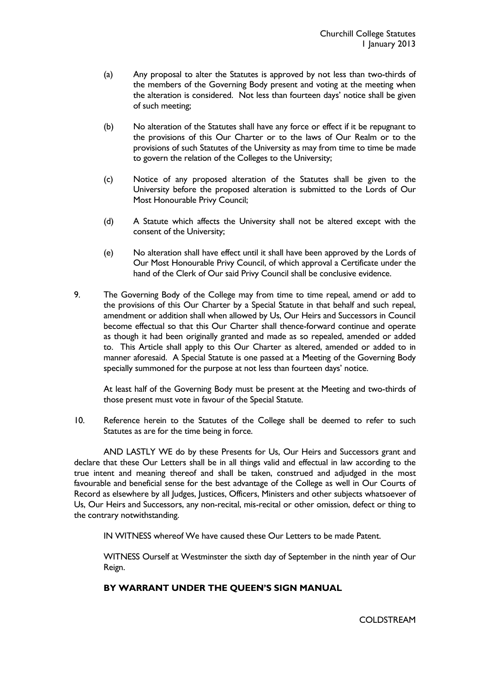- (a) Any proposal to alter the Statutes is approved by not less than two-thirds of the members of the Governing Body present and voting at the meeting when the alteration is considered. Not less than fourteen days' notice shall be given of such meeting;
- (b) No alteration of the Statutes shall have any force or effect if it be repugnant to the provisions of this Our Charter or to the laws of Our Realm or to the provisions of such Statutes of the University as may from time to time be made to govern the relation of the Colleges to the University;
- (c) Notice of any proposed alteration of the Statutes shall be given to the University before the proposed alteration is submitted to the Lords of Our Most Honourable Privy Council;
- (d) A Statute which affects the University shall not be altered except with the consent of the University;
- (e) No alteration shall have effect until it shall have been approved by the Lords of Our Most Honourable Privy Council, of which approval a Certificate under the hand of the Clerk of Our said Privy Council shall be conclusive evidence.
- 9. The Governing Body of the College may from time to time repeal, amend or add to the provisions of this Our Charter by a Special Statute in that behalf and such repeal, amendment or addition shall when allowed by Us, Our Heirs and Successors in Council become effectual so that this Our Charter shall thence-forward continue and operate as though it had been originally granted and made as so repealed, amended or added to. This Article shall apply to this Our Charter as altered, amended or added to in manner aforesaid. A Special Statute is one passed at a Meeting of the Governing Body specially summoned for the purpose at not less than fourteen days' notice.

 At least half of the Governing Body must be present at the Meeting and two-thirds of those present must vote in favour of the Special Statute.

10. Reference herein to the Statutes of the College shall be deemed to refer to such Statutes as are for the time being in force.

 AND LASTLY WE do by these Presents for Us, Our Heirs and Successors grant and declare that these Our Letters shall be in all things valid and effectual in law according to the true intent and meaning thereof and shall be taken, construed and adjudged in the most favourable and beneficial sense for the best advantage of the College as well in Our Courts of Record as elsewhere by all Judges, Justices, Officers, Ministers and other subjects whatsoever of Us, Our Heirs and Successors, any non-recital, mis-recital or other omission, defect or thing to the contrary notwithstanding.

IN WITNESS whereof We have caused these Our Letters to be made Patent.

 WITNESS Ourself at Westminster the sixth day of September in the ninth year of Our Reign.

# **BY WARRANT UNDER THE QUEEN'S SIGN MANUAL**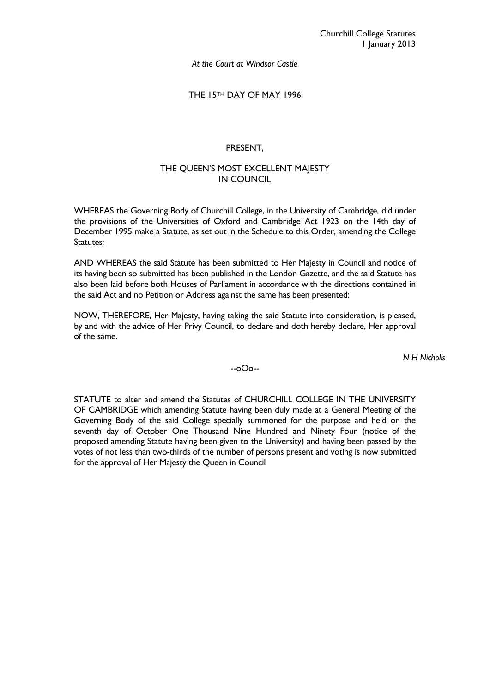*At the Court at Windsor Castle* 

THE 15TH DAY OF MAY 1996

# PRESENT,

# THE QUEEN'S MOST EXCELLENT MAJESTY IN COUNCIL

WHEREAS the Governing Body of Churchill College, in the University of Cambridge, did under the provisions of the Universities of Oxford and Cambridge Act 1923 on the 14th day of December 1995 make a Statute, as set out in the Schedule to this Order, amending the College Statutes:

AND WHEREAS the said Statute has been submitted to Her Majesty in Council and notice of its having been so submitted has been published in the London Gazette, and the said Statute has also been laid before both Houses of Parliament in accordance with the directions contained in the said Act and no Petition or Address against the same has been presented:

NOW, THEREFORE, Her Majesty, having taking the said Statute into consideration, is pleased, by and with the advice of Her Privy Council, to declare and doth hereby declare, Her approval of the same.

*N H Nicholls* 

--oOo--

STATUTE to alter and amend the Statutes of CHURCHILL COLLEGE IN THE UNIVERSITY OF CAMBRIDGE which amending Statute having been duly made at a General Meeting of the Governing Body of the said College specially summoned for the purpose and held on the seventh day of October One Thousand Nine Hundred and Ninety Four (notice of the proposed amending Statute having been given to the University) and having been passed by the votes of not less than two-thirds of the number of persons present and voting is now submitted for the approval of Her Majesty the Queen in Council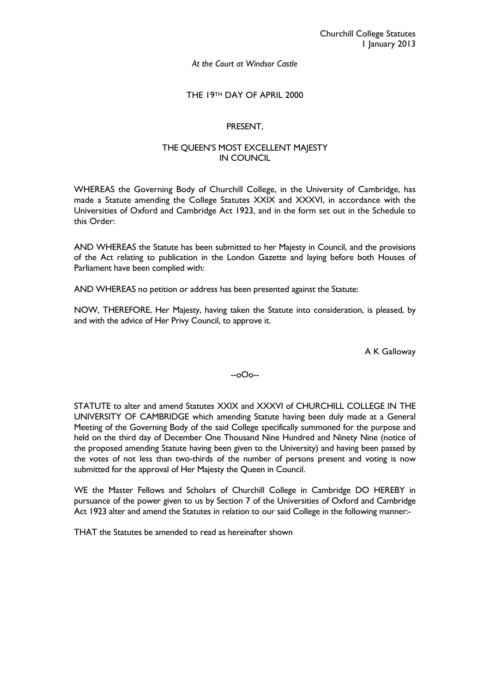### *At the Court at Windsor Castle*

### THE 19TH DAY OF APRIL 2000

## PRESENT,

## THE QUEEN'S MOST EXCELLENT MAJESTY IN COUNCIL

WHEREAS the Governing Body of Churchill College, in the University of Cambridge, has made a Statute amending the College Statutes XXIX and XXXVI, in accordance with the Universities of Oxford and Cambridge Act 1923, and in the form set out in the Schedule to this Order:

AND WHEREAS the Statute has been submitted to her Majesty in Council, and the provisions of the Act relating to publication in the London Gazette and laying before both Houses of Parliament have been complied with:

AND WHEREAS no petition or address has been presented against the Statute:

NOW, THEREFORE, Her Majesty, having taken the Statute into consideration, is pleased, by and with the advice of Her Privy Council, to approve it.

A K Galloway

# --oOo--

STATUTE to alter and amend Statutes XXIX and XXXVI of CHURCHILL COLLEGE IN THE UNIVERSITY OF CAMBRIDGE which amending Statute having been duly made at a General Meeting of the Governing Body of the said College specifically summoned for the purpose and held on the third day of December One Thousand Nine Hundred and Ninety Nine (notice of the proposed amending Statute having been given to the University) and having been passed by the votes of not less than two-thirds of the number of persons present and voting is now submitted for the approval of Her Majesty the Queen in Council.

WE the Master Fellows and Scholars of Churchill College in Cambridge DO HEREBY in pursuance of the power given to us by Section 7 of the Universities of Oxford and Cambridge Act 1923 alter and amend the Statutes in relation to our said College in the following manner:-

THAT the Statutes be amended to read as hereinafter shown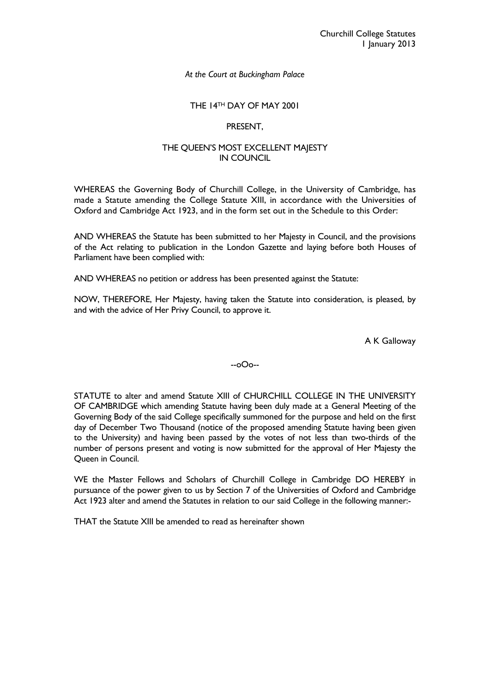# THE 14TH DAY OF MAY 2001

### PRESENT,

### THE QUEEN'S MOST EXCELLENT MAJESTY IN COUNCIL

WHEREAS the Governing Body of Churchill College, in the University of Cambridge, has made a Statute amending the College Statute XIII, in accordance with the Universities of Oxford and Cambridge Act 1923, and in the form set out in the Schedule to this Order:

AND WHEREAS the Statute has been submitted to her Majesty in Council, and the provisions of the Act relating to publication in the London Gazette and laying before both Houses of Parliament have been complied with:

AND WHEREAS no petition or address has been presented against the Statute:

NOW, THEREFORE, Her Majesty, having taken the Statute into consideration, is pleased, by and with the advice of Her Privy Council, to approve it.

A K Galloway

--oOo--

STATUTE to alter and amend Statute XIII of CHURCHILL COLLEGE IN THE UNIVERSITY OF CAMBRIDGE which amending Statute having been duly made at a General Meeting of the Governing Body of the said College specifically summoned for the purpose and held on the first day of December Two Thousand (notice of the proposed amending Statute having been given to the University) and having been passed by the votes of not less than two-thirds of the number of persons present and voting is now submitted for the approval of Her Majesty the Queen in Council.

WE the Master Fellows and Scholars of Churchill College in Cambridge DO HEREBY in pursuance of the power given to us by Section 7 of the Universities of Oxford and Cambridge Act 1923 alter and amend the Statutes in relation to our said College in the following manner:-

THAT the Statute XIII be amended to read as hereinafter shown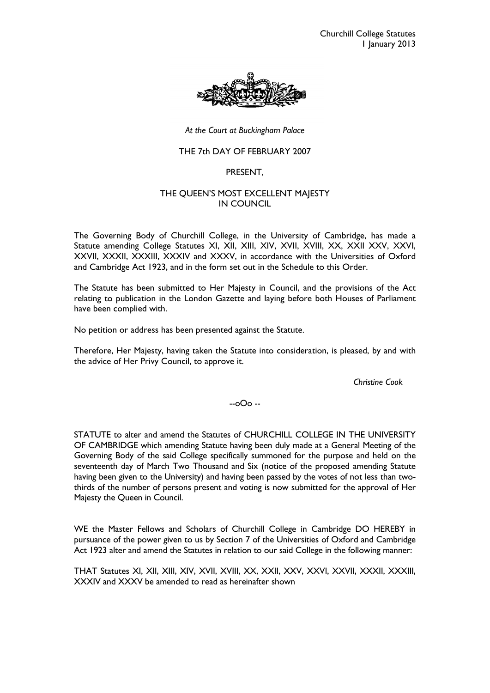

# THE 7th DAY OF FEBRUARY 2007

### PRESENT,

# THE QUEEN'S MOST EXCELLENT MAJESTY IN COUNCIL

The Governing Body of Churchill College, in the University of Cambridge, has made a Statute amending College Statutes XI, XII, XIII, XIV, XVII, XVIII, XX, XXII XXV, XXVI, XXVII, XXXII, XXXIII, XXXIV and XXXV, in accordance with the Universities of Oxford and Cambridge Act 1923, and in the form set out in the Schedule to this Order.

The Statute has been submitted to Her Majesty in Council, and the provisions of the Act relating to publication in the London Gazette and laying before both Houses of Parliament have been complied with.

No petition or address has been presented against the Statute.

Therefore, Her Majesty, having taken the Statute into consideration, is pleased, by and with the advice of Her Privy Council, to approve it.

*Christine Cook* 

--oOo --

STATUTE to alter and amend the Statutes of CHURCHILL COLLEGE IN THE UNIVERSITY OF CAMBRIDGE which amending Statute having been duly made at a General Meeting of the Governing Body of the said College specifically summoned for the purpose and held on the seventeenth day of March Two Thousand and Six (notice of the proposed amending Statute having been given to the University) and having been passed by the votes of not less than twothirds of the number of persons present and voting is now submitted for the approval of Her Majesty the Queen in Council.

WE the Master Fellows and Scholars of Churchill College in Cambridge DO HEREBY in pursuance of the power given to us by Section 7 of the Universities of Oxford and Cambridge Act 1923 alter and amend the Statutes in relation to our said College in the following manner:

THAT Statutes XI, XII, XIII, XIV, XVII, XVIII, XX, XXII, XXV, XXVI, XXVII, XXXII, XXXIII, XXXIV and XXXV be amended to read as hereinafter shown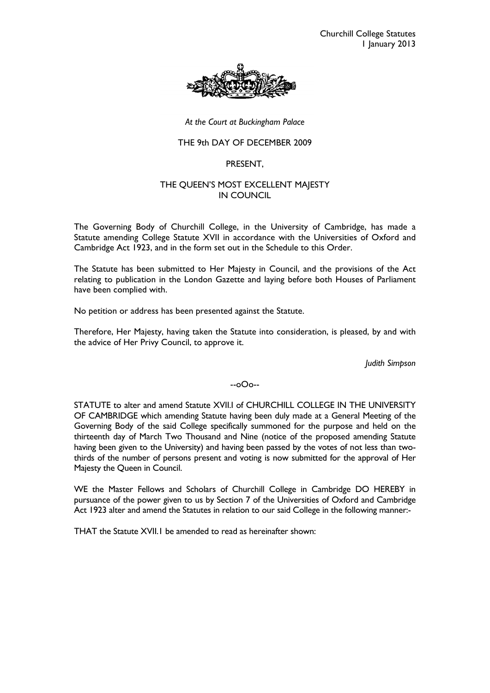

## THE 9th DAY OF DECEMBER 2009

## PRESENT,

# THE QUEEN'S MOST EXCELLENT MAJESTY IN COUNCIL

The Governing Body of Churchill College, in the University of Cambridge, has made a Statute amending College Statute XVII in accordance with the Universities of Oxford and Cambridge Act 1923, and in the form set out in the Schedule to this Order.

The Statute has been submitted to Her Majesty in Council, and the provisions of the Act relating to publication in the London Gazette and laying before both Houses of Parliament have been complied with.

No petition or address has been presented against the Statute.

Therefore, Her Majesty, having taken the Statute into consideration, is pleased, by and with the advice of Her Privy Council, to approve it.

*Judith Simpson* 

### --oOo--

STATUTE to alter and amend Statute XVII.I of CHURCHILL COLLEGE IN THE UNIVERSITY OF CAMBRIDGE which amending Statute having been duly made at a General Meeting of the Governing Body of the said College specifically summoned for the purpose and held on the thirteenth day of March Two Thousand and Nine (notice of the proposed amending Statute having been given to the University) and having been passed by the votes of not less than twothirds of the number of persons present and voting is now submitted for the approval of Her Majesty the Queen in Council.

WE the Master Fellows and Scholars of Churchill College in Cambridge DO HEREBY in pursuance of the power given to us by Section 7 of the Universities of Oxford and Cambridge Act 1923 alter and amend the Statutes in relation to our said College in the following manner:-

THAT the Statute XVII.1 be amended to read as hereinafter shown: